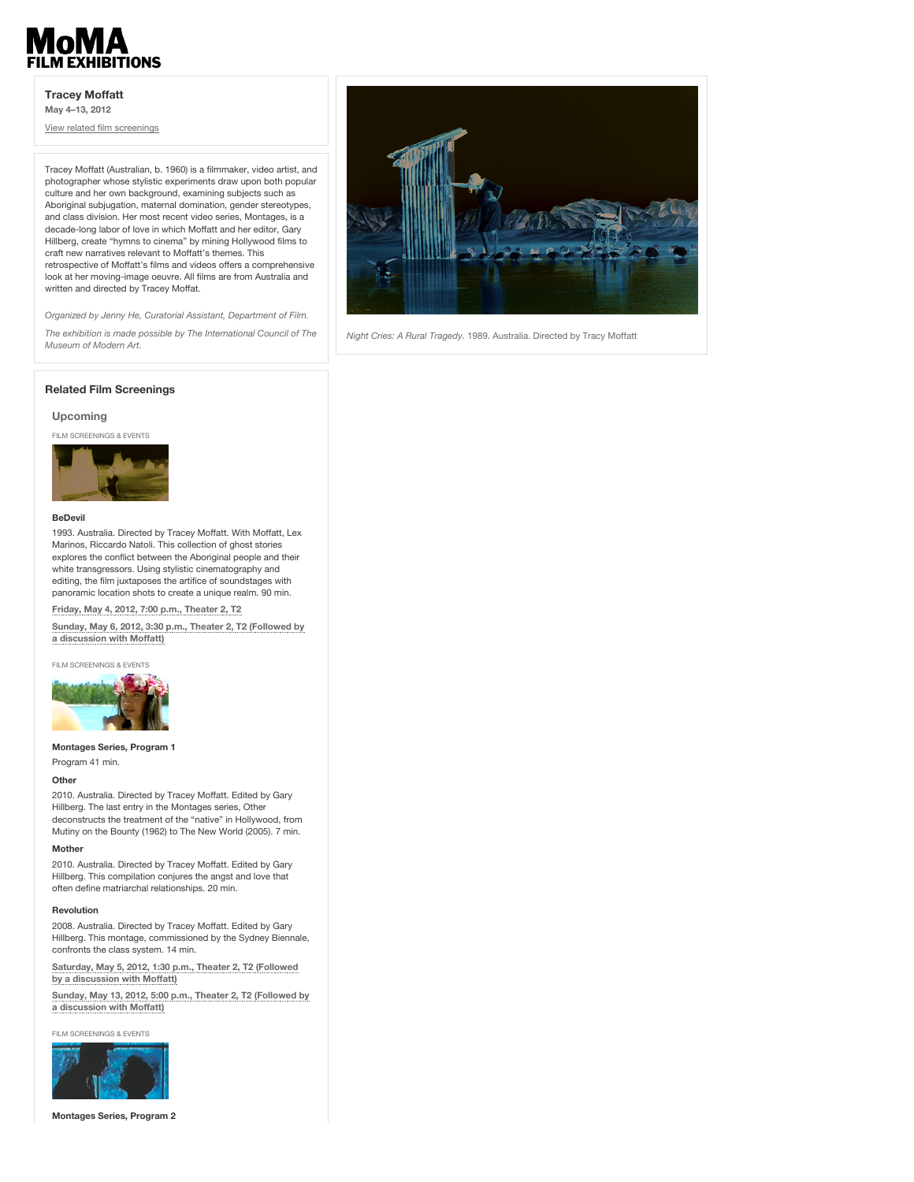# **ILM EXHIBITIONS**

# **Tracey Moffatt**

**May 4–13, 2012**

View related film screenings

Tracey Moffatt (Australian, b. 1960) is a filmmaker, video artist, and photographer whose stylistic experiments draw upon both popular culture and her own background, examining subjects such as Aboriginal subjugation, maternal domination, gender stereotypes, and class division. Her most recent video series, Montages, is a decade-long labor of love in which Moffatt and her editor, Gary Hillberg, create "hymns to cinema" by mining Hollywood films to craft new narratives relevant to Moffatt's themes. This retrospective of Moffatt's films and videos offers a comprehensive look at her moving-image oeuvre. All films are from Australia and written and directed by Tracey Moffat.

*Organized by Jenny He, Curatorial Assistant, Department of Film. The exhibition is made possible by The International Council of The*



*Night Cries: A Rural Tragedy.* 1989. Australia. Directed by Tracy Moffatt

## **Related Film Screenings**

# **Upcoming**

FILM SCREENINGS & EVENTS

*Museum of Modern Art.*



# **BeDevil**

1993. Australia. Directed by Tracey Moffatt. With Moffatt, Lex Marinos, Riccardo Natoli. This collection of ghost stories explores the conflict between the Aboriginal people and their white transgressors. Using stylistic cinematography and editing, the film juxtaposes the artifice of soundstages with panoramic location shots to create a unique realm. 90 min.

**Friday, May 4, 2012, 7:00 p.m., Theater 2, T2**

**Sunday, May 6, 2012, 3:30 p.m., Theater 2, T2 (Followed by a discussion with Moffatt)**

FILM SCREENINGS & EVENTS



**Montages Series, Program 1**

# Program 41 min.

# **Other**

2010. Australia. Directed by Tracey Moffatt. Edited by Gary Hillberg. The last entry in the Montages series, Other deconstructs the treatment of the "native" in Hollywood, from Mutiny on the Bounty (1962) to The New World (2005). 7 min.

#### **Mother**

2010. Australia. Directed by Tracey Moffatt. Edited by Gary Hillberg. This compilation conjures the angst and love that often define matriarchal relationships. 20 min.

#### **Revolution**

2008. Australia. Directed by Tracey Moffatt. Edited by Gary Hillberg. This montage, commissioned by the Sydney Biennale, confronts the class system. 14 min.

**Saturday, May 5, 2012, 1:30 p.m., Theater 2, T2 (Followed by a discussion with Moffatt)**

**Sunday, May 13, 2012, 5:00 p.m., Theater 2, T2 (Followed by a discussion with Moffatt)**

FILM SCREENINGS & EVENTS



**Montages Series, Program 2**